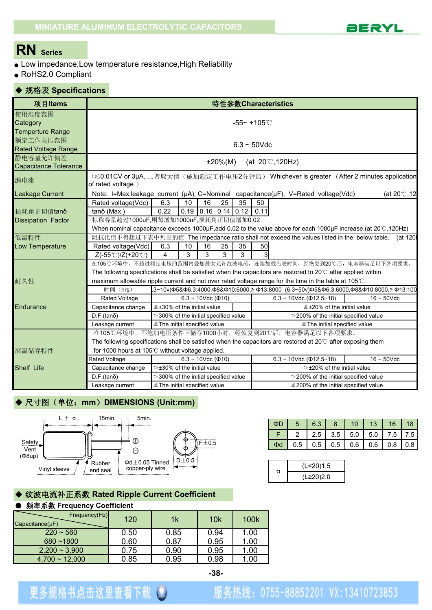

# **RN Series**

- Low impedance,Low temperature resistance,High Reliability
- RoHS2.0 Compliant

#### ◆ 规格表 **Specifications**

| 项目Items                                       |                                                                                                                        |                                            |                                |    |            |                        |            | 特性参数Characteristics                 |                                                                                                               |
|-----------------------------------------------|------------------------------------------------------------------------------------------------------------------------|--------------------------------------------|--------------------------------|----|------------|------------------------|------------|-------------------------------------|---------------------------------------------------------------------------------------------------------------|
| 使用温度范围<br>Category<br><b>Temperture Range</b> |                                                                                                                        |                                            |                                |    |            | $-55 - +105^{\circ}$ C |            |                                     |                                                                                                               |
| 额定工作电压范围<br><b>Rated Voltage Range</b>        |                                                                                                                        |                                            |                                |    |            | $6.3 \sim 50$ Vdc      |            |                                     |                                                                                                               |
| 静电容量允许偏差<br><b>Capacitance Tolerance</b>      |                                                                                                                        |                                            |                                |    | $±20\%(M)$ |                        |            | (at $20^{\circ}$ C, 120Hz)          |                                                                                                               |
| 漏电流                                           | of rated voltage)                                                                                                      |                                            |                                |    |            |                        |            |                                     | I≤0.01CV or 3μA, 二者取大值(施加额定工作电压2分钟后) Whichever is greater (After 2 minutes application                        |
| <b>Leakage Current</b>                        | Note: I=Max.leakage current ( $\mu$ A), C=Nominal capacitance( $\mu$ F), V=Rated voltage(Vdc)                          |                                            |                                |    |            |                        |            |                                     | (at 20℃,12                                                                                                    |
| 损耗角正切值tanδ<br><b>Dissipation Factor</b>       | Rated voltage(Vdc)<br>tanδ (Max.)<br>标称容量超过1000uF,则每增加1000uF,损耗角正切值增加0.02                                              | 6.3<br>0.22                                | 10<br>$0.19$ 0.16 0.14 0.12    | 16 | 25         | 35                     | 50<br>0.11 |                                     |                                                                                                               |
|                                               |                                                                                                                        |                                            |                                |    |            |                        |            |                                     | When nominal capacitance exceeds 1000µF, add 0.02 to the value above for each 1000µF increase.(at 20℃, 120Hz) |
| 低温特性                                          |                                                                                                                        |                                            |                                |    |            |                        |            |                                     | 阻抗比值不得超过下表中列出的值 The impedance ratio shall not exceed the values listed in the below table. (at 120            |
| Low Temperature                               | Rated voltage(Vdc)                                                                                                     | 6.3                                        | 10                             | 16 | 25         | 35                     | 50         |                                     |                                                                                                               |
|                                               | $Z(-55°C)/Z(+20°C)$                                                                                                    | 4                                          | 3                              | 3  | 3          | 3                      |            |                                     | 在105℃环境中,不超过额定电压的范围内叠加最大允许纹波电流,连续加载右表时间,经恢复到20℃后,电容器满足以下各项要求。                                                 |
|                                               | The following specifications shall be satisfied when the capacitors are restored to 20°C after applied within          |                                            |                                |    |            |                        |            |                                     |                                                                                                               |
| 耐久性                                           | maximum allowable ripple current and not over rated voltage range for the time in the table at 105°C.                  |                                            |                                |    |            |                        |            |                                     |                                                                                                               |
|                                               | 时间 (hrs)                                                                                                               |                                            |                                |    |            |                        |            |                                     | .3~10v)Ф5&Ф6.3:4000,Ф8&Ф10:6000,≥Ф13:8000 (6.3~50v)Ф5&Ф6.3:6000,Ф8&Ф10:8000,≥Ф13:100                          |
|                                               | Rated Voltage                                                                                                          |                                            | $6.3 \sim 10$ Vdc ( $\Phi$ 10) |    |            |                        |            | $6.3 \sim 10$ Vdc ( $\Phi$ 12.5~18) | $16 \sim 50$ Vdc                                                                                              |
| Endurance                                     | Capacitance change                                                                                                     | $\leq$ ±30% of the initial value           |                                |    |            |                        |            |                                     | $\leq$ ±20% of the initial value                                                                              |
|                                               | $D.F.(tan\delta)$                                                                                                      | $\leq$ 300% of the initial specified value |                                |    |            |                        |            |                                     | $\leq$ 200% of the initial specified value                                                                    |
|                                               | Leakage current                                                                                                        | $\le$ The initial specified value          |                                |    |            |                        |            |                                     | $\leq$ The initial specified value                                                                            |
|                                               | 在105℃环境中,不施加电压条件下储存1000小时,经恢复到20℃后,电容器满足以下各项要求。                                                                        |                                            |                                |    |            |                        |            |                                     |                                                                                                               |
|                                               | The following specifications shall be satisfied when the capacitors are restored at $20^{\circ}$ C after exposing them |                                            |                                |    |            |                        |            |                                     |                                                                                                               |
| 高温储存特性                                        | for 1000 hours at 105°C without voltage applied.                                                                       |                                            |                                |    |            |                        |            |                                     |                                                                                                               |
|                                               | Rated Voltage                                                                                                          |                                            | $6.3 \sim 10$ Vdc ( $\Phi$ 10) |    |            |                        |            | $6.3 \sim 10$ Vdc ( $\Phi$ 12.5~18) | $16 \sim 50$ Vdc                                                                                              |
| Shelf Life                                    | Capacitance change                                                                                                     | $\leq$ ±30% of the initial value           |                                |    |            |                        |            |                                     | $\leq$ ±20% of the initial value                                                                              |
|                                               | $D.F.(tan\delta)$                                                                                                      | $\leq$ 300% of the initial specified value |                                |    |            |                        |            |                                     | $\leq$ 200% of the initial specified value                                                                    |
|                                               | Leakage current                                                                                                        | $\leq$ The initial specified value         |                                |    |            |                        |            |                                     | $\leq$ 200% of the initial specified value                                                                    |

### ◆ 尺寸图(单位: mm) DIMENSIONS (Unit:mm)



| ΦD<br>-5<br>6.3<br>8<br>10<br>13                                                     | 16<br>18     |
|--------------------------------------------------------------------------------------|--------------|
| 2.5   3.5   5.0   5.0<br>Е<br>$\overline{2}$                                         | 7.5<br>7.5 L |
| $0.5$ 0.5 0.6 0.6<br>$0.5 \mid$<br>$\overline{\phantom{a}}$ $\overline{\phantom{a}}$ | 0.8<br>0.8   |

### ◆ 纹波电流补正系数 **Rated Ripple Current Coefficient**

#### ● 频率系数 **Frequency Coefficient**

| Frequency(Hz)<br>$Capacitance(\mu F)$ | 120  | 1 <sub>k</sub> | 10k  | 100k |
|---------------------------------------|------|----------------|------|------|
| $220 - 560$                           | 0.50 | 0.85           | 0.94 | 1.00 |
| $680 - 1800$                          | 0.60 | 0.87           | 0.95 | 1.00 |
| $2,200 \sim 3,900$                    | 0.75 | 0.90           | 0.95 | 1.00 |
| $4,700 \sim 12,000$                   | 0.85 | 0.95           | 0.98 | 1.00 |